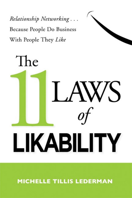Relationship Networking... **Because People Do Business** With People They Like



MICHELLE TILLIS LEDERMAN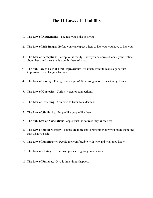## The 11 Laws of Likability

- 1. The Law of Authenticity: The real you is the best you.
- 2. The Law of Self Image: Before you can expect others to like you, you have to like you.
- 3. The Law of Perception: Perception is reality—how you perceive others is your reality about them, and the same is true for them of you.
- **The Sub Law of Law of First Impressions:** It is much easier to make a good first impression than change a bad one.
- 4. The Law of Energy: Energy is contagious! What we give off is what we get back.
- 5. The Law of Curiosity: Curiosity creates connections.
- 6. The Law of Listening: You have to listen to understand.
- 7. The Law of Similarity: People like people like them.
- **The Sub-Law of Association: People trust the sources they know best.**
- 8. The Law of Mood Memory: People are more apt to remember how you made them feel than what you said.
- 9. The Law of Familiarity: People feel comfortable with who and what they know.
- 10. The Law of Giving: Do because you can giving creates value.
- 11. The Law of Patience: Give it time, things happen.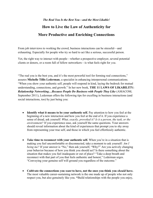#### The Real You Is the Best You—and the Most Likable!

# How to Live the Law of Authenticity for More Productive and Enriching Connections

From job interviews to working the crowd, business interactions can be stressful—and exhausting. Especially for people who try so hard to act like a serious, successful person.

Yet, the right way to interact with people—whether a prospective employer, several potential clients or donors, or a room full of fellow networkers—is what feels right for you.

"The real you is the best you, and it's the most powerful tool for forming real connections," assures Michelle Tillis Lederman, a specialist in enhancing interpersonal communications. "When you show your authentic self, people will respond in kind, laying the bedrock for mutual understanding, connections, and growth." In her new book, THE 11 LAWS OF LIKABILITY: Relationship Networking…Because People Do Business with People They Like (AMACOM; September 2011), Lederman offers the following tips for excelling in business interactions (and social interactions, too) by just being you:

- Identify what it means to be your authentic self. Pay attention to how you feel at the beginning of a new interaction and how you feel at the end of it. If you experience a sense of dread, ask yourself: What, exactly, provoked it? Is it a person, the task, or the environment? If you experience ease, ask yourself the same questions. Your answers should reveal information about the kind of experiences that prompt you to shy away from representing your true self, and those in which you feel effortlessly authentic.
- Take time to reconnect with your authentic self. When you're in a situation that is making you feel uncomfortable or disconnected, take a moment to ask yourself: Am I being me? If your answer is "No," then ask yourself, "Why?" Are you actively changing your behavior because of how you think you should act? Is there something about the situation that makes you feel inadequate or out of place? "Take a deep breath and reconnect with that part of you that feels authentic and honest," Lederman urges. "Conveying your genuine self will ground you regardless of the outcome."
- Cultivate the connections you *want* to have, not the ones you think you *should* have. The most valuable career-sustaining network is the one made up of people who not only respect you, but also genuinely like you. "Build relationships with the people you enjoy,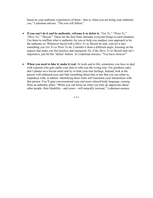based on your authentic experiences of them—that is, when you are being your authentic you," Lederman advises. "The rest will follow."

- If you can't do it and be authentic, reframe it or delete it. "Get To," "Want To," "Have To," "Should." These are the four basic attitudes everyone brings to each situation. Use them to reaffirm what is authentic for you or help you readjust your approach to let the authentic in. Whenever faced with a *Have To* or *Should* do task, convert it into something you *Get To* or *Want To* do. Consider it from a different angle, focusing on the aspects that make you feel positive and energized. Or, if the *Have To* or *Should* task isn't imperative, just hit the "delete" button. As Lederman stresses, "You have choices!"
- When you need to fake it, make it real. At work and in life, sometimes you have to deal with a person who gets under your skin or rubs you the wrong way. For goodness sake, don't plaster on a forced smile and try to hide your true feelings. Instead, look at the person with unbiased eyes and find something about him or her that you can relate to, empathize with, or admire. Identifying these traits will transform your interactions with that person. You'll gain conversational ease and more relaxed body language, coming from an authentic place. "When you can focus on what you truly do appreciate about other people, their likability—and yours—will naturally increase," Lederman assures.

# # #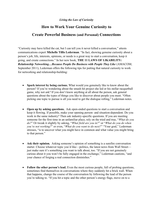#### Living the Law of Curiosity

### How to Work Your Genuine Curiosity to

### Create Powerful Business (and Personal) Connections

"Curiosity may have killed the cat, but I can tell you it never killed a conversation," attests communications expert Michelle Tillis Lederman. "In fact, showing genuine curiosity about a person's job, life, interests, opinions, or needs is a great way to start a conversation, keep it going, and create connections." In her new book, THE 11 LAWS OF LIKABILITY: Relationship Networking…Because People Do Business with People They Like (AMACOM; September 2011), Lederman offers the following tips for putting that natural curiosity to work for networking and relationship-building:

- Spark interest by being curious. What would you genuinely like to know about the person? If you're wondering about the smash hit project she led or his stellar racquetball game, why not ask? If you don't know anything at all about the person, ask general questions about the types of things you like to discover about people you meet. "Often picking one topic to pursue is all you need to get the dialogue rolling," Lederman notes.
- Open up by asking questions. Ask open-ended questions to start a conversation and keep it flowing. If possible, make your opening person- and situation-dependent. Do you work in the same industry? Then ask industry-specific questions. If you are meeting someone for the first time in an unfamiliar place, rely on the tried and true, "What do you do?" Or tweak it slightly by asking, "What field are you in?" or "What do you do when you're not working?" or even, "What do you want to do next?" "Your goal," Lederman stresses, "is to uncover what you might have in common and what value you might bring to that person."
- Ask their opinion. Asking someone's opinion of something is a surefire conversation starter. Choose whatever topic you'd like—politics, the latest news from Wall Street just make sure it's something you want to talk about, too. "If you are not genuinely curious about it you won't be fully engaged in the exchange," Lederman cautions, "and your chance of forging a real connection diminishes."
- Follow the other person's lead. Even the most curious people, full of probing questions, sometimes find themselves in conversations where they suddenly hit a brick wall. When that happens, change the course of the conversation by following the lead of the person you're talking to. "If you hit a topic and the other person's energy flags, move on to a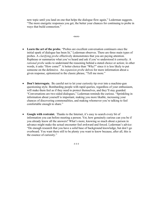new topic until you land on one that helps the dialogue flow again," Lederman suggests. "The more energetic responses you get, the better your chances for continuing to probe in ways that build connection."

-more-

- Learn the art of the probe. "Probes are excellent conversation continuers once the initial spark of dialogue has been lit," Lederman observes. There are three main types of probes. A clarifying probe effectively demonstrates that you are paying attention. Rephrase or summarize what you've heard and ask if you've understood it correctly. A rational probe seeks to understand the reasoning behind a stated choice or action; in other words, it asks "How come?" A better choice than "Why?" since it is less likely to put someone on the defensive. An *expansion probe* delves for more information about a given response, epitomized in the classic phrase, "Tell me more."
- Don't interrogate. Be careful not to let your curiosity tip over into a machine-gun questioning style. Bombarding people with rapid queries, regardless of your enthusiasm, will make them feel as if they need to protect themselves, and they'll stay guarded. "Conversations are two-sided dialogues," Lederman reminds the curious. "Sprinkling in information about yourself is important, making you more likable, increasing your chances of discovering commonalities, and making whomever you're talking to feel comfortable enough to share."
- Google with restraint. Thanks to the Internet, it's easy to search every bit of information you can before meeting a person. Yet, how genuinely curious can you be if you already know all the answers? What's more, knowing so much about a person in advance might make the actual encounter feel awkward and forced. Lederman's advice: "Do enough research that you have a solid base of background knowledge, but don't go overboard. You want there still to be plenty you want to know because, after all, this is the essence of curiosity."

# # #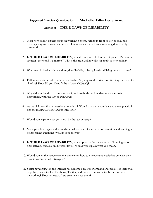### Suggested Interview Questions for Michelle Tillis Lederman,

### Author of THE 11 LAWS OF LIKABILITY

- 1. Most networking experts focus on working a room, getting in front of key people, and making every conversation strategic. How is your approach to networking dramatically different?
- 2. In THE 11 LAWS OF LIKABILITY, you affirm your belief in one of your dad's favorite sayings: "the world is a mirror." Why is this true and how does it apply to networking?
- 3. Why, even in business interactions, does likability—being liked and liking others—matter?
- 4. Different qualities make each person likable. So, why are the drivers of likability the same for all of us? How did you identify the 11 laws of likability?
- 5. Why did you decide to open your book, and establish the foundation for successful networking, with the law of *authenticity*?
- 6. As we all know, first impressions are critical. Would you share your law and a few practical tips for making a strong and positive one?
- 7. Would you explain what you mean by the law of energy?
- 8. Many people struggle with a fundamental element of starting a conversation and keeping it going: asking questions. What is your answer?
- 9. In THE 11 LAWS OF LIKABILITY, you emphasize the importance of listening-not only actively, but also on different levels. Would you explain what you mean?
- 10. Would you let the networkers out there in on how to uncover and capitalize on what they have in common with strangers?
- 11. Social networking on the Internet has become a true phenomenon. Regardless of their wild popularity, are sites like Facebook, Twitter, and LinkedIn valuable tools for business networking? How can networkers effectively use them?